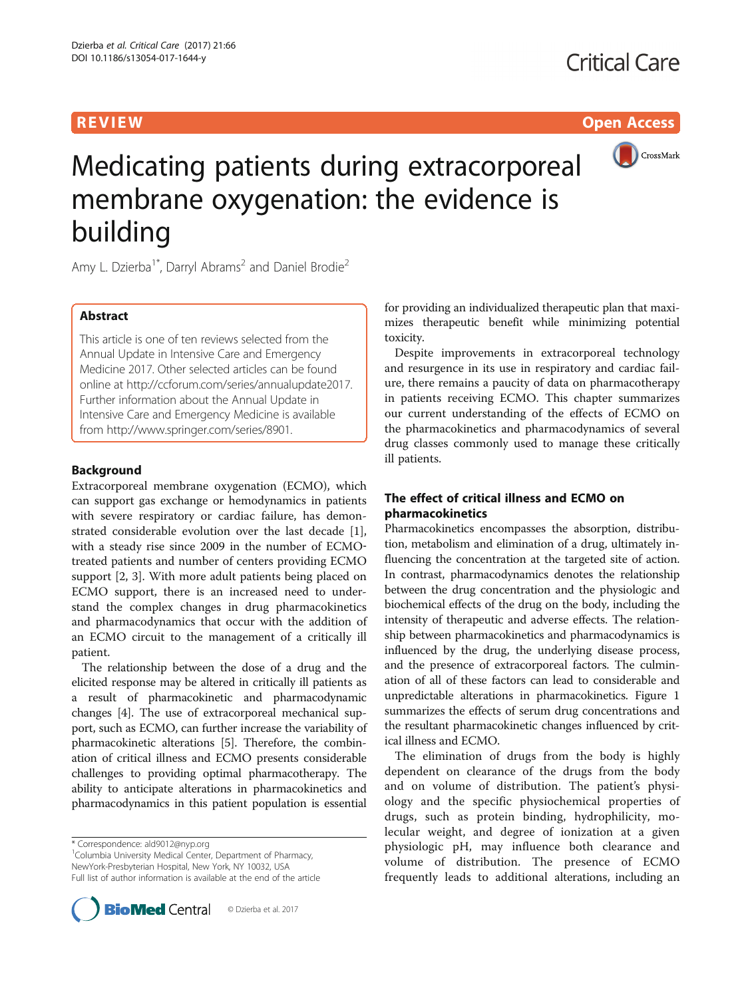# R EVI EW Open Access



# Medicating patients during extracorporeal membrane oxygenation: the evidence is building

Amy L. Dzierba<sup>1\*</sup>, Darryl Abrams<sup>2</sup> and Daniel Brodie<sup>2</sup>

# Abstract

This article is one of ten reviews selected from the Annual Update in Intensive Care and Emergency Medicine 2017. Other selected articles can be found online at [http://ccforum.com/series/annualupdate2017.](http://ccforum.com/series/annualupdate2017) Further information about the Annual Update in Intensive Care and Emergency Medicine is available from [http://www.springer.com/series/8901.](http://www.springer.com/series/8901)

# Background

Extracorporeal membrane oxygenation (ECMO), which can support gas exchange or hemodynamics in patients with severe respiratory or cardiac failure, has demonstrated considerable evolution over the last decade [\[1](#page-6-0)], with a steady rise since 2009 in the number of ECMO‐ treated patients and number of centers providing ECMO support [\[2](#page-6-0), [3](#page-6-0)]. With more adult patients being placed on ECMO support, there is an increased need to understand the complex changes in drug pharmacokinetics and pharmacodynamics that occur with the addition of an ECMO circuit to the management of a critically ill patient.

The relationship between the dose of a drug and the elicited response may be altered in critically ill patients as a result of pharmacokinetic and pharmacodynamic changes [\[4\]](#page-6-0). The use of extracorporeal mechanical support, such as ECMO, can further increase the variability of pharmacokinetic alterations [[5\]](#page-6-0). Therefore, the combination of critical illness and ECMO presents considerable challenges to providing optimal pharmacotherapy. The ability to anticipate alterations in pharmacokinetics and pharmacodynamics in this patient population is essential

<sup>1</sup>Columbia University Medical Center, Department of Pharmacy, NewYork-Presbyterian Hospital, New York, NY 10032, USA Full list of author information is available at the end of the article



for providing an individualized therapeutic plan that maximizes therapeutic benefit while minimizing potential toxicity.

Despite improvements in extracorporeal technology and resurgence in its use in respiratory and cardiac failure, there remains a paucity of data on pharmacotherapy in patients receiving ECMO. This chapter summarizes our current understanding of the effects of ECMO on the pharmacokinetics and pharmacodynamics of several drug classes commonly used to manage these critically ill patients.

# The effect of critical illness and ECMO on pharmacokinetics

Pharmacokinetics encompasses the absorption, distribution, metabolism and elimination of a drug, ultimately influencing the concentration at the targeted site of action. In contrast, pharmacodynamics denotes the relationship between the drug concentration and the physiologic and biochemical effects of the drug on the body, including the intensity of therapeutic and adverse effects. The relationship between pharmacokinetics and pharmacodynamics is influenced by the drug, the underlying disease process, and the presence of extracorporeal factors. The culmination of all of these factors can lead to considerable and unpredictable alterations in pharmacokinetics. Figure [1](#page-1-0) summarizes the effects of serum drug concentrations and the resultant pharmacokinetic changes influenced by critical illness and ECMO.

The elimination of drugs from the body is highly dependent on clearance of the drugs from the body and on volume of distribution. The patient's physiology and the specific physiochemical properties of drugs, such as protein binding, hydrophilicity, molecular weight, and degree of ionization at a given physiologic pH, may influence both clearance and volume of distribution. The presence of ECMO frequently leads to additional alterations, including an

<sup>\*</sup> Correspondence: [ald9012@nyp.org](mailto:ald9012@nyp.org) <sup>1</sup>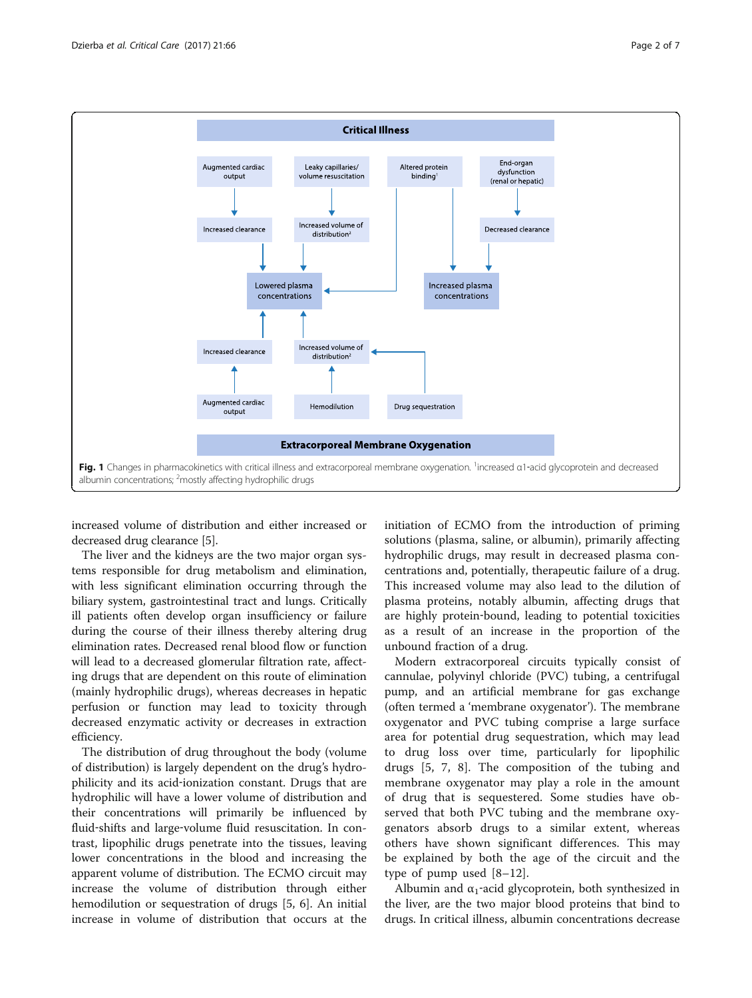<span id="page-1-0"></span>

increased volume of distribution and either increased or decreased drug clearance [[5\]](#page-6-0).

The liver and the kidneys are the two major organ systems responsible for drug metabolism and elimination, with less significant elimination occurring through the biliary system, gastrointestinal tract and lungs. Critically ill patients often develop organ insufficiency or failure during the course of their illness thereby altering drug elimination rates. Decreased renal blood flow or function will lead to a decreased glomerular filtration rate, affecting drugs that are dependent on this route of elimination (mainly hydrophilic drugs), whereas decreases in hepatic perfusion or function may lead to toxicity through decreased enzymatic activity or decreases in extraction efficiency.

The distribution of drug throughout the body (volume of distribution) is largely dependent on the drug's hydrophilicity and its acid‐ionization constant. Drugs that are hydrophilic will have a lower volume of distribution and their concentrations will primarily be influenced by fluid‐shifts and large‐volume fluid resuscitation. In contrast, lipophilic drugs penetrate into the tissues, leaving lower concentrations in the blood and increasing the apparent volume of distribution. The ECMO circuit may increase the volume of distribution through either hemodilution or sequestration of drugs [[5, 6](#page-6-0)]. An initial increase in volume of distribution that occurs at the initiation of ECMO from the introduction of priming solutions (plasma, saline, or albumin), primarily affecting hydrophilic drugs, may result in decreased plasma concentrations and, potentially, therapeutic failure of a drug. This increased volume may also lead to the dilution of plasma proteins, notably albumin, affecting drugs that are highly protein‐bound, leading to potential toxicities as a result of an increase in the proportion of the unbound fraction of a drug.

Modern extracorporeal circuits typically consist of cannulae, polyvinyl chloride (PVC) tubing, a centrifugal pump, and an artificial membrane for gas exchange (often termed a 'membrane oxygenator'). The membrane oxygenator and PVC tubing comprise a large surface area for potential drug sequestration, which may lead to drug loss over time, particularly for lipophilic drugs [[5, 7, 8\]](#page-6-0). The composition of the tubing and membrane oxygenator may play a role in the amount of drug that is sequestered. Some studies have observed that both PVC tubing and the membrane oxygenators absorb drugs to a similar extent, whereas others have shown significant differences. This may be explained by both the age of the circuit and the type of pump used [[8](#page-6-0)–[12\]](#page-6-0).

Albumin and  $\alpha_1$ -acid glycoprotein, both synthesized in the liver, are the two major blood proteins that bind to drugs. In critical illness, albumin concentrations decrease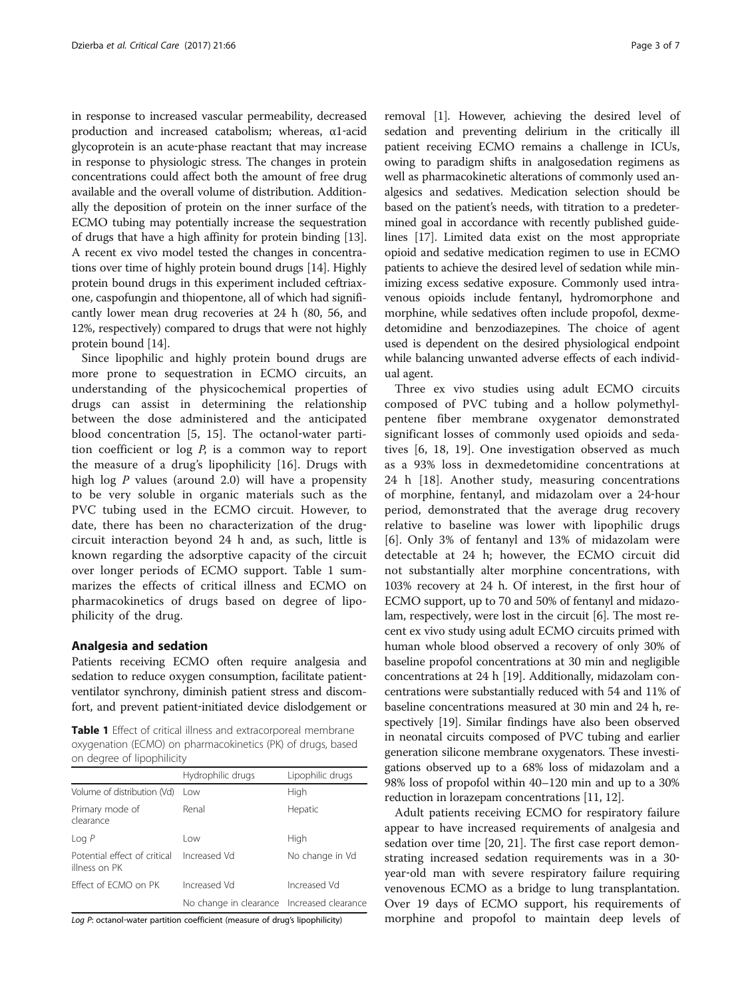in response to increased vascular permeability, decreased production and increased catabolism; whereas, α1‐acid glycoprotein is an acute‐phase reactant that may increase in response to physiologic stress. The changes in protein concentrations could affect both the amount of free drug available and the overall volume of distribution. Additionally the deposition of protein on the inner surface of the ECMO tubing may potentially increase the sequestration of drugs that have a high affinity for protein binding [[13](#page-6-0)]. A recent ex vivo model tested the changes in concentrations over time of highly protein bound drugs [\[14\]](#page-6-0). Highly protein bound drugs in this experiment included ceftriaxone, caspofungin and thiopentone, all of which had significantly lower mean drug recoveries at 24 h (80, 56, and 12%, respectively) compared to drugs that were not highly protein bound [[14](#page-6-0)].

Since lipophilic and highly protein bound drugs are more prone to sequestration in ECMO circuits, an understanding of the physicochemical properties of drugs can assist in determining the relationship between the dose administered and the anticipated blood concentration [\[5](#page-6-0), [15\]](#page-6-0). The octanol-water partition coefficient or  $log P$ , is a common way to report the measure of a drug's lipophilicity [[16\]](#page-6-0). Drugs with high log P values (around 2.0) will have a propensity to be very soluble in organic materials such as the PVC tubing used in the ECMO circuit. However, to date, there has been no characterization of the drug‐ circuit interaction beyond 24 h and, as such, little is known regarding the adsorptive capacity of the circuit over longer periods of ECMO support. Table 1 summarizes the effects of critical illness and ECMO on pharmacokinetics of drugs based on degree of lipophilicity of the drug.

### Analgesia and sedation

Patients receiving ECMO often require analgesia and sedation to reduce oxygen consumption, facilitate patientventilator synchrony, diminish patient stress and discomfort, and prevent patient‐initiated device dislodgement or

Table 1 Effect of critical illness and extracorporeal membrane oxygenation (ECMO) on pharmacokinetics (PK) of drugs, based on degree of lipophilicity

|                                               | Hydrophilic drugs                          | Lipophilic drugs |
|-----------------------------------------------|--------------------------------------------|------------------|
| Volume of distribution (Vd) Low               |                                            | High             |
| Primary mode of<br>clearance                  | Renal                                      | Hepatic          |
| Log P                                         | l ow                                       | High             |
| Potential effect of critical<br>illness on PK | Increased Vd                               | No change in Vd  |
| Fffect of FCMO on PK                          | Increased Vd                               | Increased Vd     |
|                                               | No change in clearance Increased clearance |                  |

Log P: octanol-water partition coefficient (measure of drug's lipophilicity)

removal [[1](#page-6-0)]. However, achieving the desired level of sedation and preventing delirium in the critically ill patient receiving ECMO remains a challenge in ICUs, owing to paradigm shifts in analgosedation regimens as well as pharmacokinetic alterations of commonly used analgesics and sedatives. Medication selection should be based on the patient's needs, with titration to a predetermined goal in accordance with recently published guidelines [\[17](#page-6-0)]. Limited data exist on the most appropriate opioid and sedative medication regimen to use in ECMO patients to achieve the desired level of sedation while minimizing excess sedative exposure. Commonly used intravenous opioids include fentanyl, hydromorphone and morphine, while sedatives often include propofol, dexmedetomidine and benzodiazepines. The choice of agent used is dependent on the desired physiological endpoint while balancing unwanted adverse effects of each individual agent.

Three ex vivo studies using adult ECMO circuits composed of PVC tubing and a hollow polymethylpentene fiber membrane oxygenator demonstrated significant losses of commonly used opioids and sedatives [\[6](#page-6-0), [18](#page-6-0), [19](#page-6-0)]. One investigation observed as much as a 93% loss in dexmedetomidine concentrations at 24 h [\[18](#page-6-0)]. Another study, measuring concentrations of morphine, fentanyl, and midazolam over a 24‐hour period, demonstrated that the average drug recovery relative to baseline was lower with lipophilic drugs [[6\]](#page-6-0). Only 3% of fentanyl and 13% of midazolam were detectable at 24 h; however, the ECMO circuit did not substantially alter morphine concentrations, with 103% recovery at 24 h. Of interest, in the first hour of ECMO support, up to 70 and 50% of fentanyl and midazolam, respectively, were lost in the circuit [[6\]](#page-6-0). The most recent ex vivo study using adult ECMO circuits primed with human whole blood observed a recovery of only 30% of baseline propofol concentrations at 30 min and negligible concentrations at 24 h [\[19\]](#page-6-0). Additionally, midazolam concentrations were substantially reduced with 54 and 11% of baseline concentrations measured at 30 min and 24 h, respectively [\[19](#page-6-0)]. Similar findings have also been observed in neonatal circuits composed of PVC tubing and earlier generation silicone membrane oxygenators. These investigations observed up to a 68% loss of midazolam and a 98% loss of propofol within 40–120 min and up to a 30% reduction in lorazepam concentrations [\[11, 12](#page-6-0)].

Adult patients receiving ECMO for respiratory failure appear to have increased requirements of analgesia and sedation over time [[20, 21\]](#page-6-0). The first case report demonstrating increased sedation requirements was in a 30‐ year‐old man with severe respiratory failure requiring venovenous ECMO as a bridge to lung transplantation. Over 19 days of ECMO support, his requirements of morphine and propofol to maintain deep levels of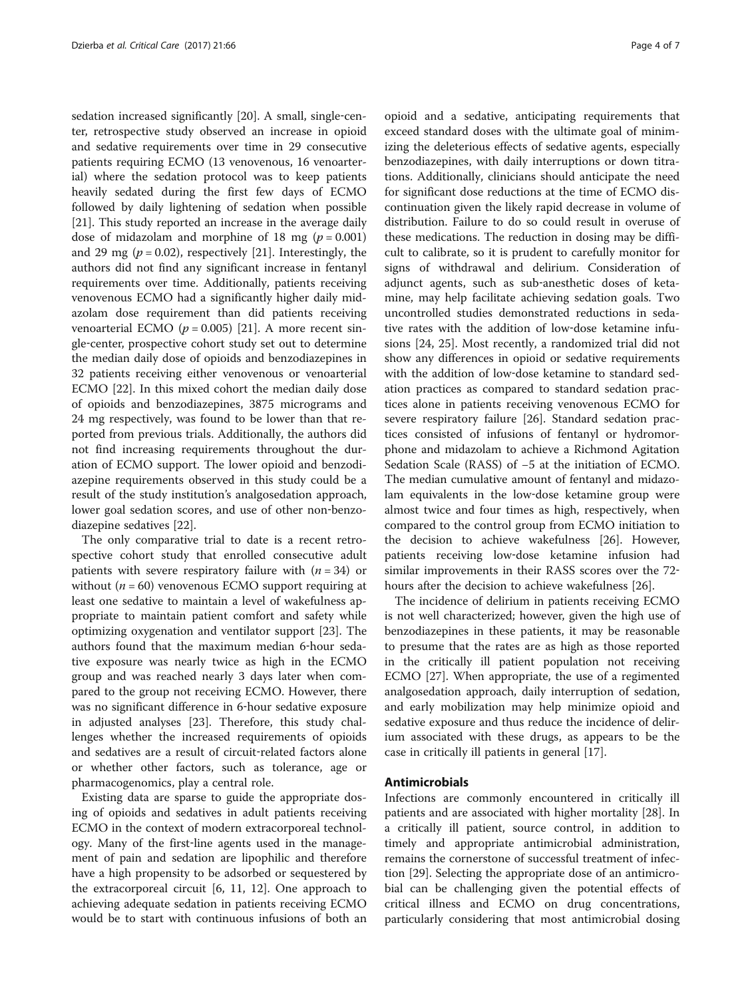sedation increased significantly [[20\]](#page-6-0). A small, single-center, retrospective study observed an increase in opioid and sedative requirements over time in 29 consecutive patients requiring ECMO (13 venovenous, 16 venoarterial) where the sedation protocol was to keep patients heavily sedated during the first few days of ECMO followed by daily lightening of sedation when possible [[21\]](#page-6-0). This study reported an increase in the average daily dose of midazolam and morphine of 18 mg ( $p = 0.001$ ) and 29 mg ( $p = 0.02$ ), respectively [[21](#page-6-0)]. Interestingly, the authors did not find any significant increase in fentanyl requirements over time. Additionally, patients receiving venovenous ECMO had a significantly higher daily midazolam dose requirement than did patients receiving venoarterial ECMO ( $p = 0.005$ ) [\[21\]](#page-6-0). A more recent single‐center, prospective cohort study set out to determine the median daily dose of opioids and benzodiazepines in 32 patients receiving either venovenous or venoarterial ECMO [\[22\]](#page-6-0). In this mixed cohort the median daily dose of opioids and benzodiazepines, 3875 micrograms and 24 mg respectively, was found to be lower than that reported from previous trials. Additionally, the authors did not find increasing requirements throughout the duration of ECMO support. The lower opioid and benzodiazepine requirements observed in this study could be a result of the study institution's analgosedation approach, lower goal sedation scores, and use of other non-benzodiazepine sedatives [\[22](#page-6-0)].

The only comparative trial to date is a recent retrospective cohort study that enrolled consecutive adult patients with severe respiratory failure with  $(n = 34)$  or without ( $n = 60$ ) venovenous ECMO support requiring at least one sedative to maintain a level of wakefulness appropriate to maintain patient comfort and safety while optimizing oxygenation and ventilator support [[23\]](#page-6-0). The authors found that the maximum median 6‐hour sedative exposure was nearly twice as high in the ECMO group and was reached nearly 3 days later when compared to the group not receiving ECMO. However, there was no significant difference in 6‐hour sedative exposure in adjusted analyses [[23](#page-6-0)]. Therefore, this study challenges whether the increased requirements of opioids and sedatives are a result of circuit-related factors alone or whether other factors, such as tolerance, age or pharmacogenomics, play a central role.

Existing data are sparse to guide the appropriate dosing of opioids and sedatives in adult patients receiving ECMO in the context of modern extracorporeal technology. Many of the first‐line agents used in the management of pain and sedation are lipophilic and therefore have a high propensity to be adsorbed or sequestered by the extracorporeal circuit [[6, 11](#page-6-0), [12\]](#page-6-0). One approach to achieving adequate sedation in patients receiving ECMO would be to start with continuous infusions of both an

opioid and a sedative, anticipating requirements that exceed standard doses with the ultimate goal of minimizing the deleterious effects of sedative agents, especially benzodiazepines, with daily interruptions or down titrations. Additionally, clinicians should anticipate the need for significant dose reductions at the time of ECMO discontinuation given the likely rapid decrease in volume of distribution. Failure to do so could result in overuse of these medications. The reduction in dosing may be difficult to calibrate, so it is prudent to carefully monitor for signs of withdrawal and delirium. Consideration of adjunct agents, such as sub‐anesthetic doses of ketamine, may help facilitate achieving sedation goals. Two uncontrolled studies demonstrated reductions in sedative rates with the addition of low‐dose ketamine infusions [[24, 25](#page-6-0)]. Most recently, a randomized trial did not show any differences in opioid or sedative requirements with the addition of low-dose ketamine to standard sedation practices as compared to standard sedation practices alone in patients receiving venovenous ECMO for severe respiratory failure [\[26](#page-6-0)]. Standard sedation practices consisted of infusions of fentanyl or hydromorphone and midazolam to achieve a Richmond Agitation Sedation Scale (RASS) of −5 at the initiation of ECMO. The median cumulative amount of fentanyl and midazolam equivalents in the low-dose ketamine group were almost twice and four times as high, respectively, when compared to the control group from ECMO initiation to the decision to achieve wakefulness [\[26\]](#page-6-0). However, patients receiving low‐dose ketamine infusion had similar improvements in their RASS scores over the 72‐ hours after the decision to achieve wakefulness [[26](#page-6-0)].

The incidence of delirium in patients receiving ECMO is not well characterized; however, given the high use of benzodiazepines in these patients, it may be reasonable to presume that the rates are as high as those reported in the critically ill patient population not receiving ECMO [\[27](#page-6-0)]. When appropriate, the use of a regimented analgosedation approach, daily interruption of sedation, and early mobilization may help minimize opioid and sedative exposure and thus reduce the incidence of delirium associated with these drugs, as appears to be the case in critically ill patients in general [[17](#page-6-0)].

# Antimicrobials

Infections are commonly encountered in critically ill patients and are associated with higher mortality [[28](#page-6-0)]. In a critically ill patient, source control, in addition to timely and appropriate antimicrobial administration, remains the cornerstone of successful treatment of infection [\[29\]](#page-6-0). Selecting the appropriate dose of an antimicrobial can be challenging given the potential effects of critical illness and ECMO on drug concentrations, particularly considering that most antimicrobial dosing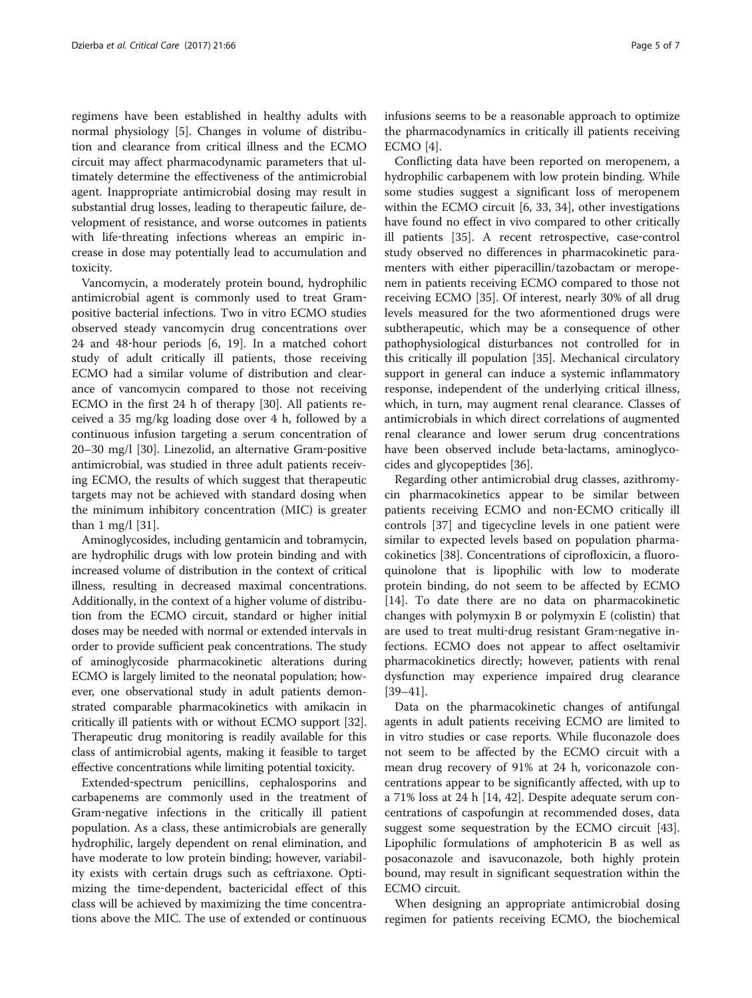regimens have been established in healthy adults with normal physiology [[5](#page-6-0)]. Changes in volume of distribution and clearance from critical illness and the ECMO circuit may affect pharmacodynamic parameters that ultimately determine the effectiveness of the antimicrobial agent. Inappropriate antimicrobial dosing may result in substantial drug losses, leading to therapeutic failure, development of resistance, and worse outcomes in patients with life-threating infections whereas an empiric increase in dose may potentially lead to accumulation and toxicity.

Vancomycin, a moderately protein bound, hydrophilic antimicrobial agent is commonly used to treat Gram‐ positive bacterial infections. Two in vitro ECMO studies observed steady vancomycin drug concentrations over 24 and 48‐hour periods [[6, 19\]](#page-6-0). In a matched cohort study of adult critically ill patients, those receiving ECMO had a similar volume of distribution and clearance of vancomycin compared to those not receiving ECMO in the first 24 h of therapy [[30](#page-6-0)]. All patients received a 35 mg/kg loading dose over 4 h, followed by a continuous infusion targeting a serum concentration of 20–30 mg/l [\[30](#page-6-0)]. Linezolid, an alternative Gram‐positive antimicrobial, was studied in three adult patients receiving ECMO, the results of which suggest that therapeutic targets may not be achieved with standard dosing when the minimum inhibitory concentration (MIC) is greater than 1 mg/l [[31\]](#page-6-0).

Aminoglycosides, including gentamicin and tobramycin, are hydrophilic drugs with low protein binding and with increased volume of distribution in the context of critical illness, resulting in decreased maximal concentrations. Additionally, in the context of a higher volume of distribution from the ECMO circuit, standard or higher initial doses may be needed with normal or extended intervals in order to provide sufficient peak concentrations. The study of aminoglycoside pharmacokinetic alterations during ECMO is largely limited to the neonatal population; however, one observational study in adult patients demonstrated comparable pharmacokinetics with amikacin in critically ill patients with or without ECMO support [[32](#page-6-0)]. Therapeutic drug monitoring is readily available for this class of antimicrobial agents, making it feasible to target effective concentrations while limiting potential toxicity.

Extended‐spectrum penicillins, cephalosporins and carbapenems are commonly used in the treatment of Gram‐negative infections in the critically ill patient population. As a class, these antimicrobials are generally hydrophilic, largely dependent on renal elimination, and have moderate to low protein binding; however, variability exists with certain drugs such as ceftriaxone. Optimizing the time‐dependent, bactericidal effect of this class will be achieved by maximizing the time concentrations above the MIC. The use of extended or continuous infusions seems to be a reasonable approach to optimize the pharmacodynamics in critically ill patients receiving ECMO [[4\]](#page-6-0).

Conflicting data have been reported on meropenem, a hydrophilic carbapenem with low protein binding. While some studies suggest a significant loss of meropenem within the ECMO circuit [\[6](#page-6-0), [33](#page-6-0), [34\]](#page-6-0), other investigations have found no effect in vivo compared to other critically ill patients [[35](#page-6-0)]. A recent retrospective, case-control study observed no differences in pharmacokinetic paramenters with either piperacillin/tazobactam or meropenem in patients receiving ECMO compared to those not receiving ECMO [[35\]](#page-6-0). Of interest, nearly 30% of all drug levels measured for the two aformentioned drugs were subtherapeutic, which may be a consequence of other pathophysiological disturbances not controlled for in this critically ill population [[35\]](#page-6-0). Mechanical circulatory support in general can induce a systemic inflammatory response, independent of the underlying critical illness, which, in turn, may augment renal clearance. Classes of antimicrobials in which direct correlations of augmented renal clearance and lower serum drug concentrations have been observed include beta-lactams, aminoglycocides and glycopeptides [\[36](#page-6-0)].

Regarding other antimicrobial drug classes, azithromycin pharmacokinetics appear to be similar between patients receiving ECMO and non‐ECMO critically ill controls [\[37](#page-6-0)] and tigecycline levels in one patient were similar to expected levels based on population pharmacokinetics [[38](#page-6-0)]. Concentrations of ciprofloxicin, a fluoroquinolone that is lipophilic with low to moderate protein binding, do not seem to be affected by ECMO [[14\]](#page-6-0). To date there are no data on pharmacokinetic changes with polymyxin B or polymyxin E (colistin) that are used to treat multi‐drug resistant Gram‐negative infections. ECMO does not appear to affect oseltamivir pharmacokinetics directly; however, patients with renal dysfunction may experience impaired drug clearance [[39](#page-6-0)–[41](#page-6-0)].

Data on the pharmacokinetic changes of antifungal agents in adult patients receiving ECMO are limited to in vitro studies or case reports. While fluconazole does not seem to be affected by the ECMO circuit with a mean drug recovery of 91% at 24 h, voriconazole concentrations appear to be significantly affected, with up to a 71% loss at 24 h [\[14, 42\]](#page-6-0). Despite adequate serum concentrations of caspofungin at recommended doses, data suggest some sequestration by the ECMO circuit [\[43](#page-6-0)]. Lipophilic formulations of amphotericin B as well as posaconazole and isavuconazole, both highly protein bound, may result in significant sequestration within the ECMO circuit.

When designing an appropriate antimicrobial dosing regimen for patients receiving ECMO, the biochemical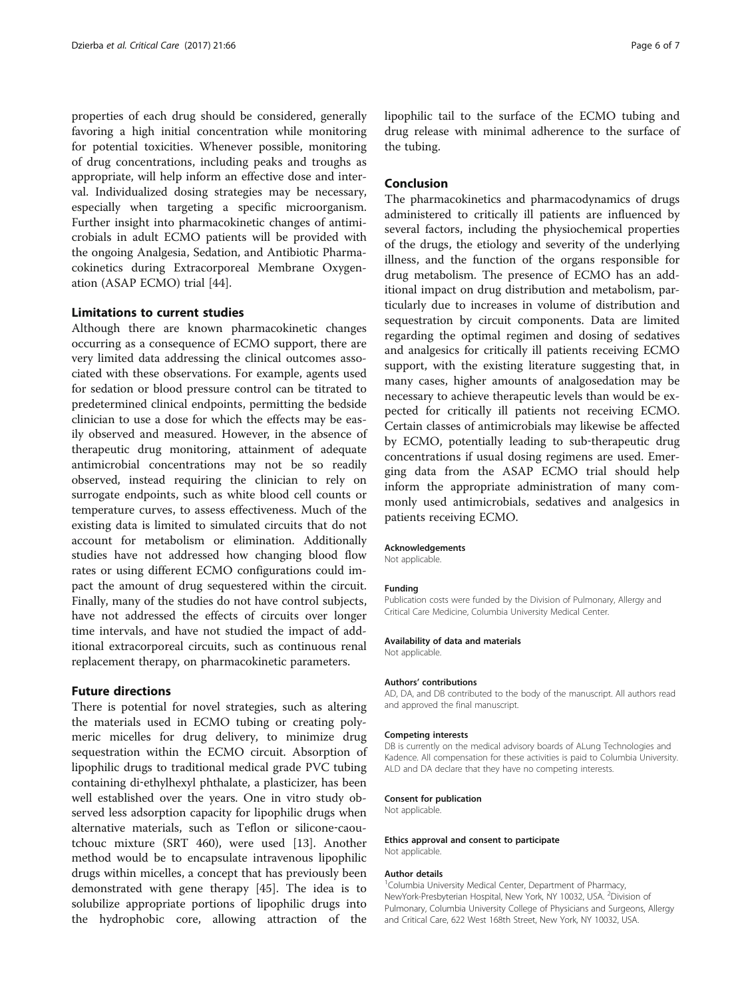properties of each drug should be considered, generally favoring a high initial concentration while monitoring for potential toxicities. Whenever possible, monitoring of drug concentrations, including peaks and troughs as appropriate, will help inform an effective dose and interval. Individualized dosing strategies may be necessary, especially when targeting a specific microorganism. Further insight into pharmacokinetic changes of antimicrobials in adult ECMO patients will be provided with the ongoing Analgesia, Sedation, and Antibiotic Pharmacokinetics during Extracorporeal Membrane Oxygenation (ASAP ECMO) trial [\[44](#page-6-0)].

## Limitations to current studies

Although there are known pharmacokinetic changes occurring as a consequence of ECMO support, there are very limited data addressing the clinical outcomes associated with these observations. For example, agents used for sedation or blood pressure control can be titrated to predetermined clinical endpoints, permitting the bedside clinician to use a dose for which the effects may be easily observed and measured. However, in the absence of therapeutic drug monitoring, attainment of adequate antimicrobial concentrations may not be so readily observed, instead requiring the clinician to rely on surrogate endpoints, such as white blood cell counts or temperature curves, to assess effectiveness. Much of the existing data is limited to simulated circuits that do not account for metabolism or elimination. Additionally studies have not addressed how changing blood flow rates or using different ECMO configurations could impact the amount of drug sequestered within the circuit. Finally, many of the studies do not have control subjects, have not addressed the effects of circuits over longer time intervals, and have not studied the impact of additional extracorporeal circuits, such as continuous renal replacement therapy, on pharmacokinetic parameters.

#### Future directions

There is potential for novel strategies, such as altering the materials used in ECMO tubing or creating polymeric micelles for drug delivery, to minimize drug sequestration within the ECMO circuit. Absorption of lipophilic drugs to traditional medical grade PVC tubing containing di‐ethylhexyl phthalate, a plasticizer, has been well established over the years. One in vitro study observed less adsorption capacity for lipophilic drugs when alternative materials, such as Teflon or silicone‐caoutchouc mixture (SRT 460), were used [\[13](#page-6-0)]. Another method would be to encapsulate intravenous lipophilic drugs within micelles, a concept that has previously been demonstrated with gene therapy [[45\]](#page-6-0). The idea is to solubilize appropriate portions of lipophilic drugs into the hydrophobic core, allowing attraction of the lipophilic tail to the surface of the ECMO tubing and drug release with minimal adherence to the surface of the tubing.

## Conclusion

The pharmacokinetics and pharmacodynamics of drugs administered to critically ill patients are influenced by several factors, including the physiochemical properties of the drugs, the etiology and severity of the underlying illness, and the function of the organs responsible for drug metabolism. The presence of ECMO has an additional impact on drug distribution and metabolism, particularly due to increases in volume of distribution and sequestration by circuit components. Data are limited regarding the optimal regimen and dosing of sedatives and analgesics for critically ill patients receiving ECMO support, with the existing literature suggesting that, in many cases, higher amounts of analgosedation may be necessary to achieve therapeutic levels than would be expected for critically ill patients not receiving ECMO. Certain classes of antimicrobials may likewise be affected by ECMO, potentially leading to sub‐therapeutic drug concentrations if usual dosing regimens are used. Emerging data from the ASAP ECMO trial should help inform the appropriate administration of many commonly used antimicrobials, sedatives and analgesics in patients receiving ECMO.

#### Acknowledgements

Not applicable.

#### Funding

Publication costs were funded by the Division of Pulmonary, Allergy and Critical Care Medicine, Columbia University Medical Center.

#### Availability of data and materials

Not applicable.

#### Authors' contributions

AD, DA, and DB contributed to the body of the manuscript. All authors read and approved the final manuscript.

#### Competing interests

DB is currently on the medical advisory boards of ALung Technologies and Kadence. All compensation for these activities is paid to Columbia University. ALD and DA declare that they have no competing interests.

#### Consent for publication

Not applicable.

# Ethics approval and consent to participate

Not applicable.

#### Author details

<sup>1</sup> Columbia University Medical Center, Department of Pharmacy, NewYork-Presbyterian Hospital, New York, NY 10032, USA. <sup>2</sup>Division of Pulmonary, Columbia University College of Physicians and Surgeons, Allergy and Critical Care, 622 West 168th Street, New York, NY 10032, USA.